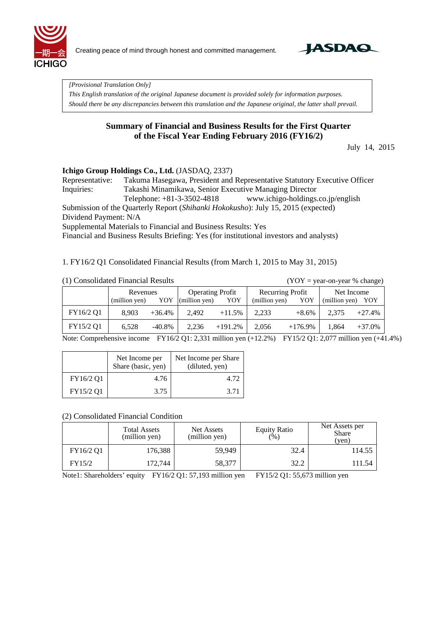

Creating peace of mind through honest and committed management.



*[Provisional Translation Only]* 

*This English translation of the original Japanese document is provided solely for information purposes. Should there be any discrepancies between this translation and the Japanese original, the latter shall prevail.*

#### **Summary of Financial and Business Results for the First Quarter of the Fiscal Year Ending February 2016 (FY16/2)**

July 14, 2015

#### **Ichigo Group Holdings Co., Ltd.** (JASDAQ, 2337)

Representative: Takuma Hasegawa, President and Representative Statutory Executive Officer Inquiries: Takashi Minamikawa, Senior Executive Managing Director Telephone: +81-3-3502-4818 www.ichigo-holdings.co.jp/english Submission of the Quarterly Report (*Shihanki Hokokusho*): July 15, 2015 (expected)

Dividend Payment: N/A

Supplemental Materials to Financial and Business Results: Yes

Financial and Business Results Briefing: Yes (for institutional investors and analysts)

1. FY16/2 Q1 Consolidated Financial Results (from March 1, 2015 to May 31, 2015)

|  | (1) Consolidated Financial Results |  |
|--|------------------------------------|--|
|  |                                    |  |

 $(YOY = year-on-year % change)$ 

|           | Revenues<br>(million yen) | YOY       | <b>Operating Profit</b><br>(million yen) | YOY       | Recurring Profit<br>(million yen) | YOY        | Net Income<br>(million yen) | YOY      |
|-----------|---------------------------|-----------|------------------------------------------|-----------|-----------------------------------|------------|-----------------------------|----------|
| FY16/2 Q1 | 8.903                     | $+36.4%$  | 2.492                                    | $+11.5%$  | 2.233                             | $+8.6\%$   | 2.375                       | $+27.4%$ |
| FY15/2 Q1 | 6.528                     | $-40.8\%$ | 2.236                                    | $+191.2%$ | 2.056                             | $+176.9\%$ | 1.864                       | $+37.0%$ |

Note: Comprehensive income FY16/2 Q1: 2,331 million yen (+12.2%) FY15/2 Q1: 2,077 million yen (+41.4%)

|           | Net Income per<br>Share (basic, yen) | Net Income per Share<br>(diluted, yen) |
|-----------|--------------------------------------|----------------------------------------|
| FY16/2 Q1 | 4.76                                 | 4.72                                   |
| FY15/2 Q1 | 3.75                                 | 3.71                                   |

#### (2) Consolidated Financial Condition

|           | <b>Total Assets</b><br>(million yen) | Net Assets<br>(million yen) | <b>Equity Ratio</b><br>(%) | Net Assets per<br><b>Share</b><br>(yen) |
|-----------|--------------------------------------|-----------------------------|----------------------------|-----------------------------------------|
| FY16/2 Q1 | 176,388                              | 59.949                      | 32.4                       | 114.55                                  |
| FY15/2    | 172,744                              | 58,377                      | 32.2                       | 111.54                                  |

Note1: Shareholders' equity FY16/2 Q1: 57,193 million yen FY15/2 Q1: 55,673 million yen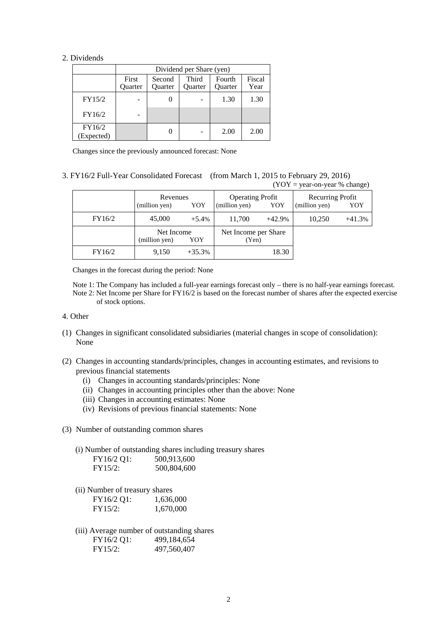#### 2. Dividends

|                      | Dividend per Share (yen) |                   |                         |                          |                |  |  |
|----------------------|--------------------------|-------------------|-------------------------|--------------------------|----------------|--|--|
|                      | First<br>Ouarter         | Second<br>Quarter | Third<br><b>Ouarter</b> | Fourth<br><b>Ouarter</b> | Fiscal<br>Year |  |  |
| FY15/2               |                          |                   |                         | 1.30                     | 1.30           |  |  |
| FY16/2               |                          |                   |                         |                          |                |  |  |
| FY16/2<br>(Expected) |                          |                   |                         | 2.00                     | 2.00           |  |  |

Changes since the previously announced forecast: None

#### 3. FY16/2 Full-Year Consolidated Forecast (from March 1, 2015 to February 29, 2016)  $(YOY = \text{year-on-year } %$  change)

|        | Revenues<br>YOY<br>(million yen) |                   | <b>Operating Profit</b><br>YOY<br>(million yen) |                               | Recurring Profit<br>(million yen) | YOY      |
|--------|----------------------------------|-------------------|-------------------------------------------------|-------------------------------|-----------------------------------|----------|
| FY16/2 | 45,000                           | $+5.4%$           | 11,700                                          | $+42.9%$                      | 10.250                            | $+41.3%$ |
|        | (million yen)                    | Net Income<br>YOY |                                                 | Net Income per Share<br>(Yen) |                                   |          |
| FY16/2 | 9,150                            | $+35.3%$          |                                                 | 18.30                         |                                   |          |

Changes in the forecast during the period: None

Note 1: The Company has included a full-year earnings forecast only – there is no half-year earnings forecast. Note 2: Net Income per Share for FY16/2 is based on the forecast number of shares after the expected exercise of stock options.

- 4. Other
- (1) Changes in significant consolidated subsidiaries (material changes in scope of consolidation): None
- (2) Changes in accounting standards/principles, changes in accounting estimates, and revisions to previous financial statements
	- (i) Changes in accounting standards/principles: None
	- (ii) Changes in accounting principles other than the above: None
	- (iii) Changes in accounting estimates: None
	- (iv) Revisions of previous financial statements: None
- (3) Number of outstanding common shares

(i) Number of outstanding shares including treasury shares<br> $E_{V16/2}^{V16/2}$  O1:  $500.013.600$  $500.013,600$ 

| $1.102 \text{ V}$ | JUU,JIJ,UUU |
|-------------------|-------------|
| FY15/2:           | 500,804,600 |

(ii) Number of treasury shares

| FY16/2 Q1: | 1,636,000 |
|------------|-----------|
| FY15/2:    | 1,670,000 |

(iii) Average number of outstanding shares FY16/2 Q1: 499,184,654 FY15/2: 497,560,407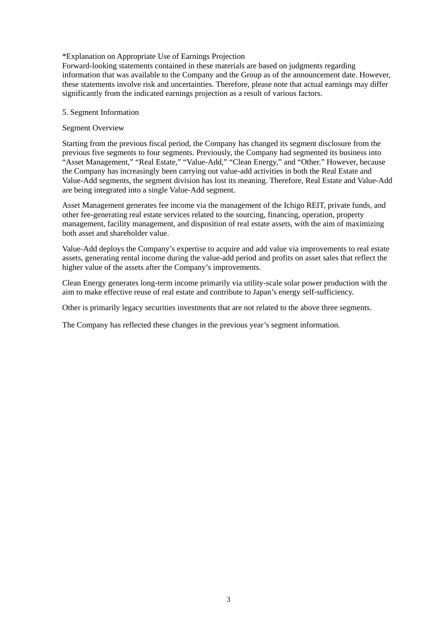#### \*Explanation on Appropriate Use of Earnings Projection

Forward-looking statements contained in these materials are based on judgments regarding information that was available to the Company and the Group as of the announcement date. However, these statements involve risk and uncertainties. Therefore, please note that actual earnings may differ significantly from the indicated earnings projection as a result of various factors.

#### 5. Segment Information

#### Segment Overview

Starting from the previous fiscal period, the Company has changed its segment disclosure from the previous five segments to four segments. Previously, the Company had segmented its business into "Asset Management," "Real Estate," "Value-Add," "Clean Energy," and "Other." However, because the Company has increasingly been carrying out value-add activities in both the Real Estate and Value-Add segments, the segment division has lost its meaning. Therefore, Real Estate and Value-Add are being integrated into a single Value-Add segment.

Asset Management generates fee income via the management of the Ichigo REIT, private funds, and other fee-generating real estate services related to the sourcing, financing, operation, property management, facility management, and disposition of real estate assets, with the aim of maximizing both asset and shareholder value.

Value-Add deploys the Company's expertise to acquire and add value via improvements to real estate assets, generating rental income during the value-add period and profits on asset sales that reflect the higher value of the assets after the Company's improvements.

Clean Energy generates long-term income primarily via utility-scale solar power production with the aim to make effective reuse of real estate and contribute to Japan's energy self-sufficiency.

Other is primarily legacy securities investments that are not related to the above three segments.

The Company has reflected these changes in the previous year's segment information.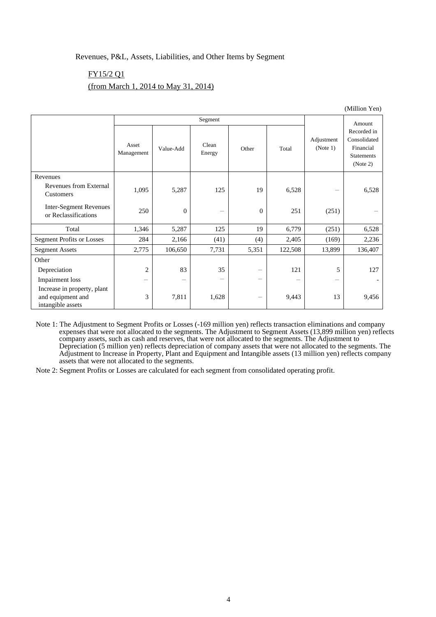#### Revenues, P&L, Assets, Liabilities, and Other Items by Segment

#### FY15/2 Q1

#### (from March 1, 2014 to May 31, 2014)

|                                                                       |                          |                  | Segment         |                          |         |                        | Amount                                                                    |
|-----------------------------------------------------------------------|--------------------------|------------------|-----------------|--------------------------|---------|------------------------|---------------------------------------------------------------------------|
|                                                                       | Asset<br>Management      | Value-Add        | Clean<br>Energy | Other                    | Total   | Adjustment<br>(Note 1) | Recorded in<br>Consolidated<br>Financial<br><b>Statements</b><br>(Note 2) |
| Revenues                                                              |                          |                  |                 |                          |         |                        |                                                                           |
| Revenues from External<br>Customers                                   | 1,095                    | 5,287            | 125             | 19                       | 6,528   |                        | 6,528                                                                     |
| <b>Inter-Segment Revenues</b><br>or Reclassifications                 | 250                      | $\boldsymbol{0}$ | -               | $\theta$                 | 251     | (251)                  |                                                                           |
| Total                                                                 | 1,346                    | 5,287            | 125             | 19                       | 6,779   | (251)                  | 6,528                                                                     |
| <b>Segment Profits or Losses</b>                                      | 284                      | 2,166            | (41)            | (4)                      | 2,405   | (169)                  | 2,236                                                                     |
| <b>Segment Assets</b>                                                 | 2,775                    | 106,650          | 7,731           | 5,351                    | 122,508 | 13,899                 | 136,407                                                                   |
| Other                                                                 |                          |                  |                 |                          |         |                        |                                                                           |
| Depreciation                                                          | $\overline{c}$           | 83               | 35              | -                        | 121     | 5                      | 127                                                                       |
| <b>Impairment</b> loss                                                | $\overline{\phantom{0}}$ | -                | -               | $\overline{\phantom{m}}$ |         |                        |                                                                           |
| Increase in property, plant<br>and equipment and<br>intangible assets | 3                        | 7,811            | 1,628           | -                        | 9,443   | 13                     | 9,456                                                                     |

Note 1: The Adjustment to Segment Profits or Losses (-169 million yen) reflects transaction eliminations and company expenses that were not allocated to the segments. The Adjustment to Segment Assets (13,899 million yen) reflects company assets, such as cash and reserves, that were not allocated to the segments. The Adjustment to Depreciation (5 million yen) reflects depreciation of company assets that were not allocated to the segments. The Adjustment to Increase in Property, Plant and Equipment and Intangible assets (13 million yen) reflects company assets that were not allocated to the segments.

Note 2: Segment Profits or Losses are calculated for each segment from consolidated operating profit.

(Million Yen)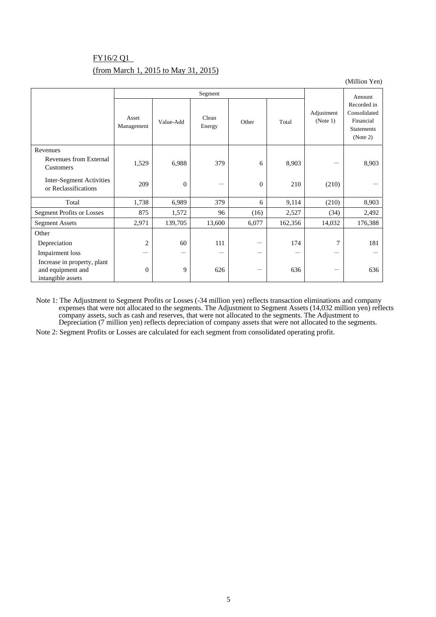## FY16/2 Q1 (from March 1, 2015 to May 31, 2015)

(Million Yen)

|                                                                       | Segment                  |                  |                 |              |         | Amount                 |                                                                           |
|-----------------------------------------------------------------------|--------------------------|------------------|-----------------|--------------|---------|------------------------|---------------------------------------------------------------------------|
|                                                                       | Asset<br>Management      | Value-Add        | Clean<br>Energy | Other        | Total   | Adjustment<br>(Note 1) | Recorded in<br>Consolidated<br>Financial<br><b>Statements</b><br>(Note 2) |
| Revenues                                                              |                          |                  |                 |              |         |                        |                                                                           |
| Revenues from External<br>Customers                                   | 1,529                    | 6,988            | 379             | 6            | 8,903   |                        | 8,903                                                                     |
| Inter-Segment Activities<br>or Reclassifications                      | 209                      | $\boldsymbol{0}$ |                 | $\mathbf{0}$ | 210     | (210)                  |                                                                           |
| Total                                                                 | 1,738                    | 6,989            | 379             | 6            | 9,114   | (210)                  | 8,903                                                                     |
| <b>Segment Profits or Losses</b>                                      | 875                      | 1,572            | 96              | (16)         | 2,527   | (34)                   | 2,492                                                                     |
| <b>Segment Assets</b>                                                 | 2,971                    | 139,705          | 13,600          | 6,077        | 162,356 | 14,032                 | 176,388                                                                   |
| Other                                                                 |                          |                  |                 |              |         |                        |                                                                           |
| Depreciation                                                          | $\overline{c}$           | 60               | 111             |              | 174     | 7                      | 181                                                                       |
| <b>Impairment</b> loss                                                | $\overline{\phantom{0}}$ | —                |                 |              |         |                        |                                                                           |
| Increase in property, plant<br>and equipment and<br>intangible assets | $\mathbf{0}$             | 9                | 626             |              | 636     |                        | 636                                                                       |

Note 1: The Adjustment to Segment Profits or Losses (-34 million yen) reflects transaction eliminations and company expenses that were not allocated to the segments. The Adjustment to Segment Assets (14,032 million yen) reflects company assets, such as cash and reserves, that were not allocated to the segments. The Adjustment to Depreciation (7 million yen) reflects depreciation of company assets that were not allocated to the segments.

Note 2: Segment Profits or Losses are calculated for each segment from consolidated operating profit.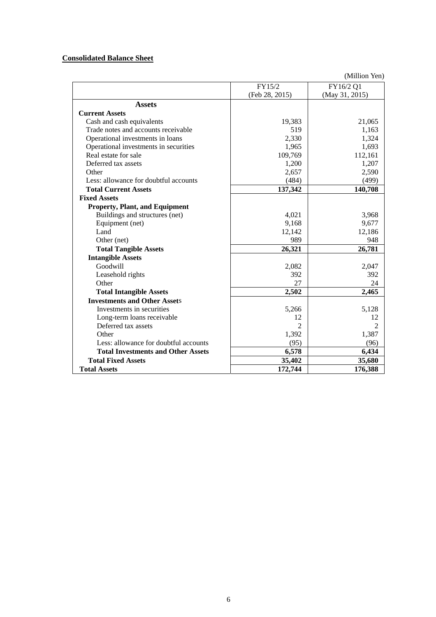### **Consolidated Balance Sheet**

(Million Yen)

|                                           | FY15/2         | FY16/2 Q1      |
|-------------------------------------------|----------------|----------------|
|                                           | (Feb 28, 2015) | (May 31, 2015) |
| <b>Assets</b>                             |                |                |
| <b>Current Assets</b>                     |                |                |
| Cash and cash equivalents                 | 19,383         | 21,065         |
| Trade notes and accounts receivable       | 519            | 1,163          |
| Operational investments in loans          | 2,330          | 1,324          |
| Operational investments in securities     | 1,965          | 1,693          |
| Real estate for sale                      | 109,769        | 112,161        |
| Deferred tax assets                       | 1,200          | 1,207          |
| Other                                     | 2,657          | 2,590          |
| Less: allowance for doubtful accounts     | (484)          | (499)          |
| <b>Total Current Assets</b>               | 137,342        | 140,708        |
| <b>Fixed Assets</b>                       |                |                |
| <b>Property, Plant, and Equipment</b>     |                |                |
| Buildings and structures (net)            | 4,021          | 3,968          |
| Equipment (net)                           | 9,168          | 9,677          |
| Land                                      | 12,142         | 12,186         |
| Other (net)                               | 989            | 948            |
| <b>Total Tangible Assets</b>              | 26,321         | 26,781         |
| <b>Intangible Assets</b>                  |                |                |
| Goodwill                                  | 2,082          | 2,047          |
| Leasehold rights                          | 392            | 392            |
| Other                                     | 27             | 24             |
| <b>Total Intangible Assets</b>            | 2,502          | 2,465          |
| <b>Investments and Other Assets</b>       |                |                |
| Investments in securities                 | 5,266          | 5,128          |
| Long-term loans receivable                | 12             | 12             |
| Deferred tax assets                       | $\overline{2}$ | $\mathfrak{D}$ |
| Other                                     | 1,392          | 1,387          |
| Less: allowance for doubtful accounts     | (95)           | (96)           |
| <b>Total Investments and Other Assets</b> | 6,578          | 6,434          |
| <b>Total Fixed Assets</b>                 | 35,402         | 35,680         |
| <b>Total Assets</b>                       | 172,744        | 176,388        |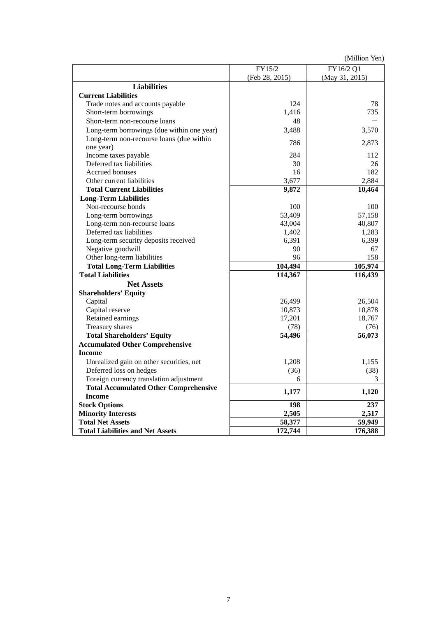(Million Yen)

|                                              | FY15/2         | FY16/2 Q1      |
|----------------------------------------------|----------------|----------------|
|                                              | (Feb 28, 2015) | (May 31, 2015) |
| <b>Liabilities</b>                           |                |                |
| <b>Current Liabilities</b>                   |                |                |
| Trade notes and accounts payable             | 124            | 78             |
| Short-term borrowings                        | 1,416          | 735            |
| Short-term non-recourse loans                | 48             |                |
| Long-term borrowings (due within one year)   | 3,488          | 3,570          |
| Long-term non-recourse loans (due within     |                |                |
| one year)                                    | 786            | 2,873          |
| Income taxes payable                         | 284            | 112            |
| Deferred tax liabilities                     | 30             | 26             |
| Accrued bonuses                              | 16             | 182            |
| Other current liabilities                    | 3,677          | 2,884          |
| <b>Total Current Liabilities</b>             | 9,872          | 10,464         |
| <b>Long-Term Liabilities</b>                 |                |                |
| Non-recourse bonds                           | 100            | 100            |
| Long-term borrowings                         | 53,409         | 57,158         |
| Long-term non-recourse loans                 | 43,004         | 40,807         |
| Deferred tax liabilities                     | 1,402          | 1,283          |
| Long-term security deposits received         | 6,391          | 6,399          |
| Negative goodwill                            | 90             | 67             |
| Other long-term liabilities                  | 96             | 158            |
| <b>Total Long-Term Liabilities</b>           | 104,494        | 105,974        |
| <b>Total Liabilities</b>                     | 114,367        | 116,439        |
| <b>Net Assets</b>                            |                |                |
| <b>Shareholders' Equity</b>                  |                |                |
| Capital                                      | 26,499         | 26,504         |
| Capital reserve                              | 10,873         | 10,878         |
| Retained earnings                            | 17,201         | 18,767         |
| Treasury shares                              | (78)           | (76)           |
| <b>Total Shareholders' Equity</b>            | 54,496         | 56,073         |
| <b>Accumulated Other Comprehensive</b>       |                |                |
| <b>Income</b>                                |                |                |
| Unrealized gain on other securities, net     | 1,208          | 1,155          |
| Deferred loss on hedges                      | (36)           | (38)           |
| Foreign currency translation adjustment      | 6              | 3              |
| <b>Total Accumulated Other Comprehensive</b> |                |                |
| <b>Income</b>                                | 1,177          | 1,120          |
| <b>Stock Options</b>                         | 198            | 237            |
| <b>Minority Interests</b>                    | 2,505          | 2,517          |
| <b>Total Net Assets</b>                      | 58,377         | 59,949         |
| <b>Total Liabilities and Net Assets</b>      | 172,744        | 176,388        |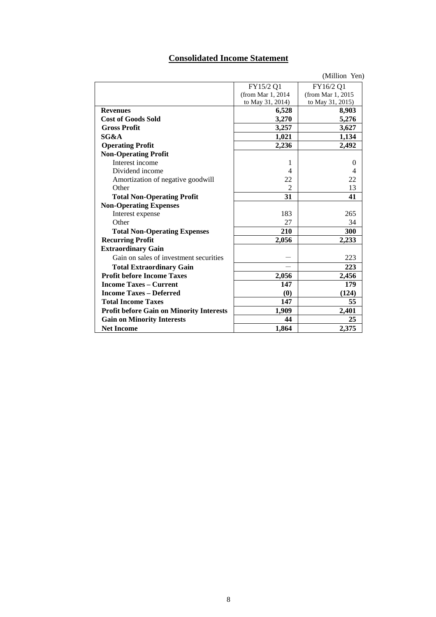# **Consolidated Income Statement**

|                                                 |                   | (Million Yen)     |
|-------------------------------------------------|-------------------|-------------------|
|                                                 | FY15/2 Q1         | FY16/2 Q1         |
|                                                 | (from Mar 1, 2014 | (from Mar 1, 2015 |
|                                                 | to May 31, 2014)  | to May 31, 2015)  |
| <b>Revenues</b>                                 | 6,528             | 8,903             |
| <b>Cost of Goods Sold</b>                       | 3,270             | 5,276             |
| <b>Gross Profit</b>                             | 3,257             | 3,627             |
| SG&A                                            | 1,021             | 1,134             |
| <b>Operating Profit</b>                         | 2,236             | 2,492             |
| <b>Non-Operating Profit</b>                     |                   |                   |
| Interest income                                 | 1                 | $\Omega$          |
| Dividend income                                 | 4                 | 4                 |
| Amortization of negative goodwill               | 22                | 22                |
| Other                                           | $\mathfrak{D}$    | 13                |
| <b>Total Non-Operating Profit</b>               | 31                | 41                |
| <b>Non-Operating Expenses</b>                   |                   |                   |
| Interest expense                                | 183               | 265               |
| Other                                           | 27                | 34                |
| <b>Total Non-Operating Expenses</b>             | 210               | 300               |
| <b>Recurring Profit</b>                         | 2,056             | 2,233             |
| <b>Extraordinary Gain</b>                       |                   |                   |
| Gain on sales of investment securities          |                   | 223               |
| <b>Total Extraordinary Gain</b>                 |                   | 223               |
| <b>Profit before Income Taxes</b>               | 2,056             | 2,456             |
| <b>Income Taxes - Current</b>                   | 147               | 179               |
| <b>Income Taxes - Deferred</b>                  | (0)               | (124)             |
| <b>Total Income Taxes</b>                       | 147               | 55                |
| <b>Profit before Gain on Minority Interests</b> | 1,909             | 2,401             |
| <b>Gain on Minority Interests</b>               | 44                | 25                |
| <b>Net Income</b>                               | 1,864             | 2,375             |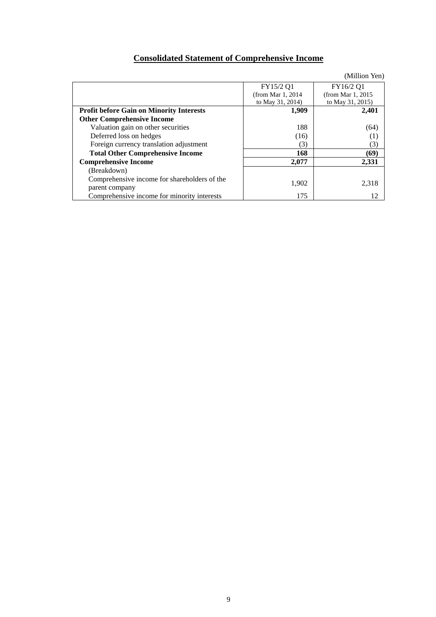# **Consolidated Statement of Comprehensive Income**

|                                                                |                    | (Million Yen)      |
|----------------------------------------------------------------|--------------------|--------------------|
|                                                                | FY15/2 Q1          | FY16/2 Q1          |
|                                                                | (from Mar 1, 2014) | (from Mar 1, 2015) |
|                                                                | to May 31, 2014)   | to May 31, 2015)   |
| <b>Profit before Gain on Minority Interests</b>                | 1,909              | 2,401              |
| <b>Other Comprehensive Income</b>                              |                    |                    |
| Valuation gain on other securities                             | 188                | (64)               |
| Deferred loss on hedges                                        | (16)               | $^{(1)}$           |
| Foreign currency translation adjustment                        | (3)                | (3)                |
| <b>Total Other Comprehensive Income</b>                        | 168                | (69)               |
| <b>Comprehensive Income</b>                                    | 2,077              | 2.331              |
| (Breakdown)                                                    |                    |                    |
| Comprehensive income for shareholders of the<br>parent company | 1,902              | 2,318              |
| Comprehensive income for minority interests                    | 175                | 12                 |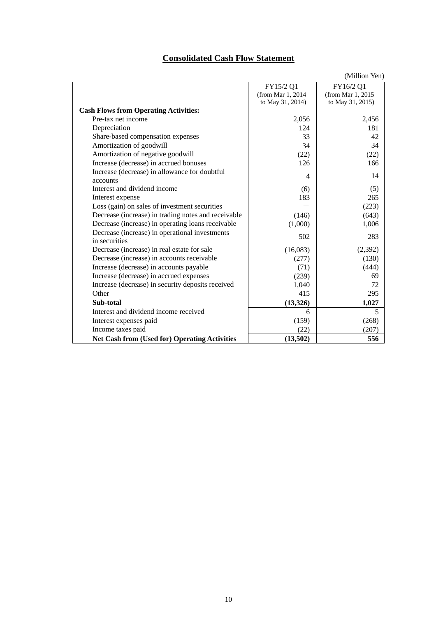# **Consolidated Cash Flow Statement**

|                                                      |                    | (Million Yen)     |
|------------------------------------------------------|--------------------|-------------------|
|                                                      | FY15/2 Q1          | FY16/2 Q1         |
|                                                      | (from Mar 1, 2014) | (from Mar 1, 2015 |
|                                                      | to May 31, 2014)   | to May 31, 2015)  |
| <b>Cash Flows from Operating Activities:</b>         |                    |                   |
| Pre-tax net income                                   | 2,056              | 2,456             |
| Depreciation                                         | 124                | 181               |
| Share-based compensation expenses                    | 33                 | 42                |
| Amortization of goodwill                             | 34                 | 34                |
| Amortization of negative goodwill                    | (22)               | (22)              |
| Increase (decrease) in accrued bonuses               | 126                | 166               |
| Increase (decrease) in allowance for doubtful        | 4                  | 14                |
| accounts                                             |                    |                   |
| Interest and dividend income                         | (6)                | (5)               |
| Interest expense                                     | 183                | 265               |
| Loss (gain) on sales of investment securities        |                    | (223)             |
| Decrease (increase) in trading notes and receivable  | (146)              | (643)             |
| Decrease (increase) in operating loans receivable    | (1,000)            | 1,006             |
| Decrease (increase) in operational investments       | 502                | 283               |
| in securities                                        |                    |                   |
| Decrease (increase) in real estate for sale          | (16,083)           | (2,392)           |
| Decrease (increase) in accounts receivable           | (277)              | (130)             |
| Increase (decrease) in accounts payable              | (71)               | (444)             |
| Increase (decrease) in accrued expenses              | (239)              | 69                |
| Increase (decrease) in security deposits received    | 1,040              | 72                |
| Other                                                | 415                | 295               |
| Sub-total                                            | (13,326)           | 1,027             |
| Interest and dividend income received                | 6                  | 5                 |
| Interest expenses paid                               | (159)              | (268)             |
| Income taxes paid                                    | (22)               | (207)             |
| <b>Net Cash from (Used for) Operating Activities</b> | (13,502)           | 556               |